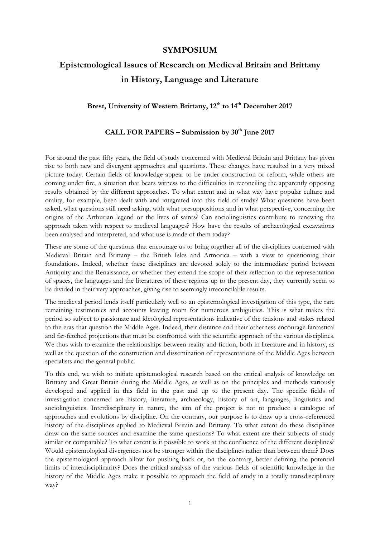# **SYMPOSIUM**

# **Epistemological Issues of Research on Medieval Britain and Brittany in History, Language and Literature**

# **Brest, University of Western Brittany, 12th to 14th December 2017**

## **CALL FOR PAPERS – Submission by 30th June 2017**

For around the past fifty years, the field of study concerned with Medieval Britain and Brittany has given rise to both new and divergent approaches and questions. These changes have resulted in a very mixed picture today. Certain fields of knowledge appear to be under construction or reform, while others are coming under fire, a situation that bears witness to the difficulties in reconciling the apparently opposing results obtained by the different approaches. To what extent and in what way have popular culture and orality, for example, been dealt with and integrated into this field of study? What questions have been asked, what questions still need asking, with what presuppositions and in what perspective, concerning the origins of the Arthurian legend or the lives of saints? Can sociolinguistics contribute to renewing the approach taken with respect to medieval languages? How have the results of archaeological excavations been analysed and interpreted, and what use is made of them today?

These are some of the questions that encourage us to bring together all of the disciplines concerned with Medieval Britain and Brittany – the British Isles and Armorica – with a view to questioning their foundations. Indeed, whether these disciplines are devoted solely to the intermediate period between Antiquity and the Renaissance, or whether they extend the scope of their reflection to the representation of spaces, the languages and the literatures of these regions up to the present day, they currently seem to be divided in their very approaches, giving rise to seemingly irreconcilable results.

The medieval period lends itself particularly well to an epistemological investigation of this type, the rare remaining testimonies and accounts leaving room for numerous ambiguities. This is what makes the period so subject to passionate and ideological representations indicative of the tensions and stakes related to the eras that question the Middle Ages. Indeed, their distance and their otherness encourage fantastical and far-fetched projections that must be confronted with the scientific approach of the various disciplines. We thus wish to examine the relationships between reality and fiction, both in literature and in history, as well as the question of the construction and dissemination of representations of the Middle Ages between specialists and the general public.

To this end, we wish to initiate epistemological research based on the critical analysis of knowledge on Brittany and Great Britain during the Middle Ages, as well as on the principles and methods variously developed and applied in this field in the past and up to the present day. The specific fields of investigation concerned are history, literature, archaeology, history of art, languages, linguistics and sociolinguistics. Interdisciplinary in nature, the aim of the project is not to produce a catalogue of approaches and evolutions by discipline. On the contrary, our purpose is to draw up a cross-referenced history of the disciplines applied to Medieval Britain and Brittany. To what extent do these disciplines draw on the same sources and examine the same questions? To what extent are their subjects of study similar or comparable? To what extent is it possible to work at the confluence of the different disciplines? Would epistemological divergences not be stronger within the disciplines rather than between them? Does the epistemological approach allow for pushing back or, on the contrary, better defining the potential limits of interdisciplinarity? Does the critical analysis of the various fields of scientific knowledge in the history of the Middle Ages make it possible to approach the field of study in a totally transdisciplinary way?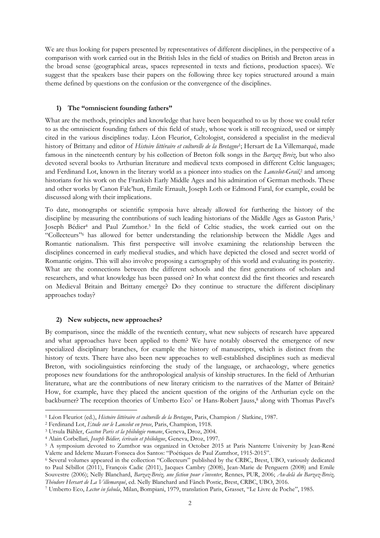We are thus looking for papers presented by representatives of different disciplines, in the perspective of a comparison with work carried out in the British Isles in the field of studies on British and Breton areas in the broad sense (geographical areas, spaces represented in texts and fictions, production spaces). We suggest that the speakers base their papers on the following three key topics structured around a main theme defined by questions on the confusion or the convergence of the disciplines.

#### **1) The "omniscient founding fathers"**

What are the methods, principles and knowledge that have been bequeathed to us by those we could refer to as the omniscient founding fathers of this field of study, whose work is still recognized, used or simply cited in the various disciplines today. Léon Fleuriot, Celtologist, considered a specialist in the medieval history of Brittany and editor of Histoire littéraire et culturelle de la Bretagne<sup>1</sup>; Hersart de La Villemarqué, made famous in the nineteenth century by his collection of Breton folk songs in the *Barzaz Breiz*, but who also devoted several books to Arthurian literature and medieval texts composed in different Celtic languages; and Ferdinand Lot, known in the literary world as a pioneer into studies on the *Lancelot-Grail*, <sup>2</sup> and among historians for his work on the Frankish Early Middle Ages and his admiration of German methods. These and other works by Canon Falc'hun, Emile Ernault, Joseph Loth or Edmond Faral, for example, could be discussed along with their implications.

To date, monographs or scientific symposia have already allowed for furthering the history of the discipline by measuring the contributions of such leading historians of the Middle Ages as Gaston Paris,<sup>3</sup> Joseph Bédier<sup>4</sup> and Paul Zumthor.<sup>5</sup> In the field of Celtic studies, the work carried out on the "Collecteurs" <sup>6</sup> has allowed for better understanding the relationship between the Middle Ages and Romantic nationalism. This first perspective will involve examining the relationship between the disciplines concerned in early medieval studies, and which have depicted the closed and secret world of Romantic origins. This will also involve proposing a cartography of this world and evaluating its posterity. What are the connections between the different schools and the first generations of scholars and researchers, and what knowledge has been passed on? In what context did the first theories and research on Medieval Britain and Brittany emerge? Do they continue to structure the different disciplinary approaches today?

#### **2) New subjects, new approaches?**

1

By comparison, since the middle of the twentieth century, what new subjects of research have appeared and what approaches have been applied to them? We have notably observed the emergence of new specialized disciplinary branches, for example the history of manuscripts, which is distinct from the history of texts. There have also been new approaches to well-established disciplines such as medieval Breton, with sociolinguistics reinforcing the study of the language, or archaeology, where genetics proposes new foundations for the anthropological analysis of kinship structures. In the field of Arthurian literature, what are the contributions of new literary criticism to the narratives of the Matter of Britain? How, for example, have they placed the ancient question of the origins of the Arthurian cycle on the backburner? The reception theories of Umberto Eco7 or Hans-Robert Jauss,<sup>8</sup> along with Thomas Pavel's

<sup>1</sup> Léon Fleuriot (ed.), *Histoire littéraire et culturelle de la Bretagne*, Paris, Champion / Slatkine, 1987.

<sup>2</sup> Ferdinand Lot, *Etude sur le Lancelot en prose*, Paris, Champion, 1918.

<sup>3</sup> Ursula Bähler, *Gaston Paris et la philologie romane*, Geneva, Droz, 2004.

<sup>4</sup> Alain Corbellari, *Joseph Bédier, écrivain et philologue*, Geneva, Droz, 1997.

<sup>5</sup> A symposium devoted to Zumthor was organized in October 2015 at Paris Nanterre University by Jean-René Valette and Idelette Muzart-Fonseca dos Santos: "Poétiques de Paul Zumthor, 1915-2015".

<sup>6</sup> Several volumes appeared in the collection "Collecteurs" published by the CRBC, Brest, UBO, variously dedicated to Paul Sébillot (2011), François Cadic (2011), Jacques Cambry (2008), Jean-Marie de Penguern (2008) and Emile Souvestre (2006); Nelly Blanchard, *Barzaz-Breiz, une fiction pour s'inventer*, Rennes, PUR, 2006; *Au-delà du Barzaz-Breiz, Théodore Hersart de La Villemarqué*, ed. Nelly Blanchard and Fãnch Postic, Brest, CRBC, UBO, 2016.

<sup>7</sup> Umberto Eco, *Lector in fabula*, Milan, Bompiani, 1979, translation Paris, Grasset, "Le Livre de Poche", 1985.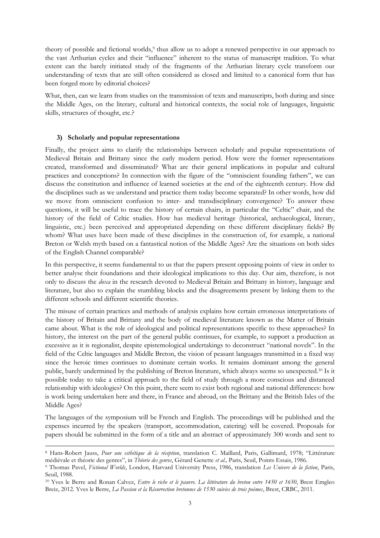theory of possible and fictional worlds,<sup>9</sup> thus allow us to adopt a renewed perspective in our approach to the vast Arthurian cycles and their "influence" inherent to the status of manuscript tradition. To what extent can the barely initiated study of the fragments of the Arthurian literary cycle transform our understanding of texts that are still often considered as closed and limited to a canonical form that has been forged more by editorial choices?

What, then, can we learn from studies on the transmission of texts and manuscripts, both during and since the Middle Ages, on the literary, cultural and historical contexts, the social role of languages, linguistic skills, structures of thought, etc.?

#### **3) Scholarly and popular representations**

 $\ddot{\phantom{a}}$ 

Finally, the project aims to clarify the relationships between scholarly and popular representations of Medieval Britain and Brittany since the early modern period. How were the former representations created, transformed and disseminated? What are their general implications in popular and cultural practices and conceptions? In connection with the figure of the "omniscient founding fathers", we can discuss the constitution and influence of learned societies at the end of the eighteenth century. How did the disciplines such as we understand and practice them today become separated? In other words, how did we move from omniscient confusion to inter- and transdisciplinary convergence? To answer these questions, it will be useful to trace the history of certain chairs, in particular the "Celtic" chair, and the history of the field of Celtic studies. How has medieval heritage (historical, archaeological, literary, linguistic, etc.) been perceived and appropriated depending on these different disciplinary fields? By whom? What uses have been made of these disciplines in the construction of, for example, a national Breton or Welsh myth based on a fantastical notion of the Middle Ages? Are the situations on both sides of the English Channel comparable?

In this perspective, it seems fundamental to us that the papers present opposing points of view in order to better analyse their foundations and their ideological implications to this day. Our aim, therefore, is not only to discuss the *doxa* in the research devoted to Medieval Britain and Brittany in history, language and literature, but also to explain the stumbling blocks and the disagreements present by linking them to the different schools and different scientific theories.

The misuse of certain practices and methods of analysis explains how certain erroneous interpretations of the history of Britain and Brittany and the body of medieval literature known as the Matter of Britain came about. What is the role of ideological and political representations specific to these approaches? In history, the interest on the part of the general public continues, for example, to support a production as excessive as it is regionalist, despite epistemological undertakings to deconstruct "national novels". In the field of the Celtic languages and Middle Breton, the vision of peasant languages transmitted in a fixed way since the heroic times continues to dominate certain works. It remains dominant among the general public, barely undermined by the publishing of Breton literature, which always seems so unexpected.<sup>10</sup> Is it possible today to take a critical approach to the field of study through a more conscious and distanced relationship with ideologies? On this point, there seem to exist both regional and national differences: how is work being undertaken here and there, in France and abroad, on the Brittany and the British Isles of the Middle Ages?

The languages of the symposium will be French and English. The proceedings will be published and the expenses incurred by the speakers (transport, accommodation, catering) will be covered. Proposals for papers should be submitted in the form of a title and an abstract of approximately 300 words and sent to

<sup>8</sup> Hans-Robert Jauss, *Pour une esthétique de la réception*, translation C. Maillard, Paris, Gallimard, 1978; "Littérature médiévale et théorie des genres", in *Théorie des genres*, Gérard Genette *et al.,* Paris, Seuil, Points Essais, 1986.

<sup>9</sup> Thomas Pavel, *Fictional Worlds*, London, Harvard University Press, 1986, translation *Les Univers de la fiction*, Paris, Seuil, 1988.

<sup>10</sup> Yves le Berre and Ronan Calvez, *Entre le riche et le pauvre. La littérature du breton entre 1450 et 1650*, Brest Emgleo Breiz, 2012. Yves le Berre, *La Passion et la Résurrection bretonnes de 1530 suivies de trois poèmes*, Brest, CRBC, 2011.